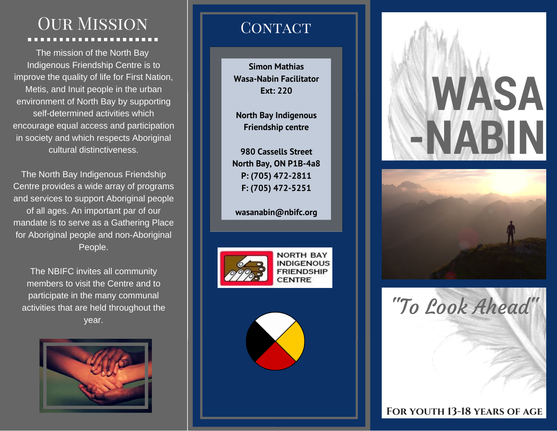# Our Mission

The mission of the North Bay Indigenous Friendship Centre is to improve the quality of life for First Nation, Metis, and Inuit people in the urban environment of North Bay by supporting self-determined activities which encourage equal access and participation in society and which respects Aboriginal cultural distinctiveness.

The North Bay Indigenous Friendship Centre provides a wide array of programs and services to support Aboriginal people of all ages. An important par of our mandate is to serve as a Gathering Place for Aboriginal people and non-Aboriginal People.

The NBIFC invites all community members to visit the Centre and to participate in the many communal activities that are held throughout the year.



## **CONTACT**

**Simon Mathias Wasa-Nabin Facilitator Ext: 220**

**North Bay Indigenous Friendship centre**

**980 Cassells Street North Bay, ON P1B-4a8 P: (705) 472-2811 F: (705) 472-5251**

**wasanabin@nbifc.org**



# **WASA -NABIN**



"To Look Ahead"

#### **For youth 13-18 years of age**